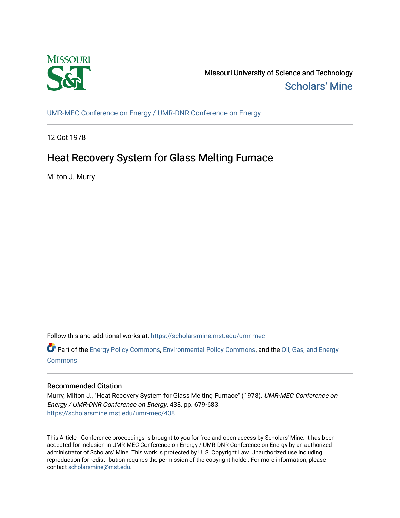

Missouri University of Science and Technology [Scholars' Mine](https://scholarsmine.mst.edu/) 

[UMR-MEC Conference on Energy / UMR-DNR Conference on Energy](https://scholarsmine.mst.edu/umr-mec)

12 Oct 1978

# Heat Recovery System for Glass Melting Furnace

Milton J. Murry

Follow this and additional works at: [https://scholarsmine.mst.edu/umr-mec](https://scholarsmine.mst.edu/umr-mec?utm_source=scholarsmine.mst.edu%2Fumr-mec%2F438&utm_medium=PDF&utm_campaign=PDFCoverPages) 

Part of the [Energy Policy Commons](http://network.bepress.com/hgg/discipline/1065?utm_source=scholarsmine.mst.edu%2Fumr-mec%2F438&utm_medium=PDF&utm_campaign=PDFCoverPages), [Environmental Policy Commons](http://network.bepress.com/hgg/discipline/1027?utm_source=scholarsmine.mst.edu%2Fumr-mec%2F438&utm_medium=PDF&utm_campaign=PDFCoverPages), and the [Oil, Gas, and Energy](http://network.bepress.com/hgg/discipline/171?utm_source=scholarsmine.mst.edu%2Fumr-mec%2F438&utm_medium=PDF&utm_campaign=PDFCoverPages) [Commons](http://network.bepress.com/hgg/discipline/171?utm_source=scholarsmine.mst.edu%2Fumr-mec%2F438&utm_medium=PDF&utm_campaign=PDFCoverPages)

# Recommended Citation

Murry, Milton J., "Heat Recovery System for Glass Melting Furnace" (1978). UMR-MEC Conference on Energy / UMR-DNR Conference on Energy. 438, pp. 679-683. [https://scholarsmine.mst.edu/umr-mec/438](https://scholarsmine.mst.edu/umr-mec/438?utm_source=scholarsmine.mst.edu%2Fumr-mec%2F438&utm_medium=PDF&utm_campaign=PDFCoverPages) 

This Article - Conference proceedings is brought to you for free and open access by Scholars' Mine. It has been accepted for inclusion in UMR-MEC Conference on Energy / UMR-DNR Conference on Energy by an authorized administrator of Scholars' Mine. This work is protected by U. S. Copyright Law. Unauthorized use including reproduction for redistribution requires the permission of the copyright holder. For more information, please contact [scholarsmine@mst.edu](mailto:scholarsmine@mst.edu).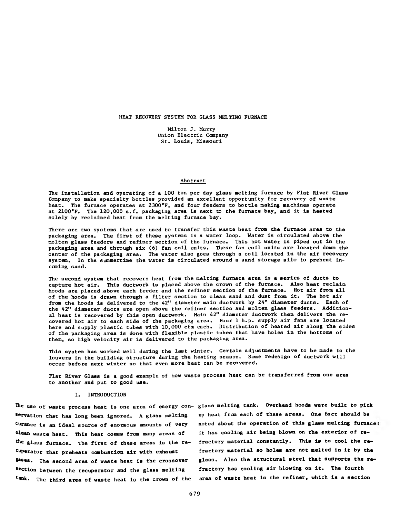#### HEAT RECOVERY SYSTEM FOR GLASS MELTING FURNACE

Milton J. Murry Union Electric Company St. Louis, Missouri

#### Abstract

The installation and operating of a 100 ton per day glass melting furnace by Flat River Glass Company to make specialty bottles provided an excellent opportunity for recovery of waste heat. The furnace operates at 2300°F, and four feeders to bottle making machines operate at 2100"F. The 120,000 s.f. packaging area is next to the furnace bay, and it is heated solely by reclaimed heat from the melting furnace bay.

There are two systems that are used to transfer this waste heat from the furnace area to the packaging area. The first of these systems is a water loop. Water is circulated above the molten glass feeders and refiner section of the furnace. This hot water is piped out in the packaging area and through six (6) fan coil units. These fan coil units are located down the center of the packaging area. The water also goes through a coil located in the air recovery system. In the summertime the water is circulated around a sand storage silo to preheat incoming sand.

The second system that recovers heat from the melting furnace area is a series of ducts to capture hot air. This ductwork is placed above the crown of the furnace. Also heat reclaim hoods are placed above each feeder and the refiner section of the furnace. Hot air from all of the hoods is drawn through a filter section to clean sand and dust from it. The hot air from the hoods is delivered to the 42" diameter main ductwork by 24" diameter ducts. Each of the 42" diameter ducts are open above the refiner section and molten glass feeders. Additional heat is recovered by this open ductwork. Main 42" diameter ductwork then delivers the recovered hot air to each side of the packaging area. Four 1 h.p. supply air fans are located here and supply plastic tubes with 10,000 cfm each. Distribution of heated air along the sides of the packaging area is done with flexible plastic tubes that have holes in the bottoms of them, so high velocity air is delivered to the packaging area.

This system has worked well during the last winter. Certain adjustments have to be made to the louvers in the building structure during the heating season. Some redesign of ductwork will occur before next winter so that even more heat can be recovered.

Flat River Glass is a good example of how waste process heat can be transferred from one area to another and put to good use.

#### 1. INTRODUCTION

servation that has long been ignored. A glass melting curance is an ideal source of enormous amounts of very clean waste heat. This heat comes from many areas of the glass furnace. The first of these areas is the recuperator that preheats combustion air with exhaust ®ases. The second area of waste heat is the crossover section between the recuperator and the glass melting tank. The third area of waste heat is the crown of the

The use of waste process heat is one area of energy con- glass melting tank. Overhead hoods were built to pick up heat from each of these areas. One fact should be noted about the operation of this glass melting furnace it has cooling air being blown on the exterior of refractory material constantly. This is to cool the refractory material so holes are not melted in it by the glass. Also the structural steel that supports the refractory has cooling air blowing on it. The fourth area of waste heat is the refiner, which is a section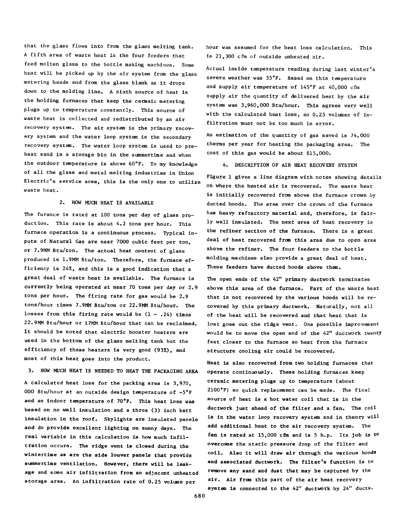that the glass flows Into from the glass melting tank. A fifth area of waste heat is the four feeders that feed molten glass to the bottle making machines. Some heat will be picked up by the air system from the glass metering heads and from the glass blank as it drops down to the molding line. A sixth source of heat is the holding furnaces that keep the cermaic metering plugs up to temperature constantly. This source of waste heat is collected and redistributed by an air recovery system. The air system is the primary recovery system and the water loop system is the secondary recovery system. The water loop system is used to preheat sand in a storage bin in the sunmertime and when the outdoor temperature is above 60°F. To my knowledge of all the glass and metal melting industries in Union Electric's service area, this is the only one to utilize waste heat.

### 2. HOW MUCH HEAT IS AVAILABLE

The furance is rated at 100 tons per day of glass production. This rate is about 4.2 tons per hour. This furnace operation is a continuous process. Typical inputs of Natural Gas are near 7000 cubic feet per ton, or 7.9MM Btu/ton. The actual heat content of glass produced is 1.9MM Btu/ton. Therefore, the furnace efficiency is 24%, and this is a good indication that a great deal of waste heat is available. The furnace is currently being operated at near 70 tons per day or 2.9 tons per hour. The firing rate for gas would be 2.9 tons/hour times 7.9MM Btu/ton or 22.9MM Btu/hour. The losses from this firing rate would be  $(1 - .24)$  times 22.9MM Btu/hour or 17MM Btu/hour that can be reclaimed. It should be noted that electric booster heaters are used in the bottom of the glass melting tank but the efficiency of these heaters is very good (93%), and most of this heat goes into the product.

3. HOW MUCH HEAT IS NEEDED TO HEAT THE PACKAGING AREA

A calculated heat loss for the packing area is 3,970, 000 Btu/hour at an outside design temperature of -5°F and an indoor temperature of 70°F. This heat loss was based on no wall insulation and a three (3) inch batt insulation in the roof. Skylights are insulated panels and do provide excellent lighting on sunny days. The real variable in this calculation is how much infiltration occurs. The ridge vent is closed during the wintertime as are the side louver panels that provide summertime ventilation. However, there will be leakage and some air infiltration from an adjacent unheated storage area. An infiltration rate of 0.25 volume per

hour was assumed for the heat loss calculation. This is 21,300 cfm of outside unheated air.

Actual inside temperature reading during last winter's severe weather was 55°F. Based on this temperature and supply air temperature of 145°F at 40,000 cfm supply air the quantity of delivered heat by the air system was 3,960,000 Btu/hour. This agrees very well with the calculated heat loss, so 0.25 volumes of infiltration must not be too much in error.

An estimation of the quantity of gas saved is 74,000 therms per year for heating the packaging area. The cost of this gas would be about \$15,000.

4. DESCRIPTION OF AIR HEAT RECOVERY SYSTEM

Figure 1 gives a line diagram with notes showing details on where the heated air is recovered. The waste heat is initially recovered from above the furnace crown by ducted hoods. The area over the crown of the furnace has heavy refractory material and, therefore, is fairly well insulated. The next area of heat recovery is the refiner section of the furnace. There is a great deal of heat recovered from this area due to open area above the refiner. The four feeders to the bottle molding machines also provide a great deal of heat. These feeders have ducted hoods above them.

The open ends of the 42" primary ductwork terminates above this area of the furnace. Part of the waste heat that is not recovered by the various hoods will be recovered by this primary ductwork. Naturally, not all of the heat will be recovered and that heat that is lost goes out the ridge vent. One possible improvement would be to move the open end of the 42" ductwork twenty feet closer to the furnace so heat from the furnace structure cooling air could be recovered.

Heat is also recovered from two holding furnaces that operate continuously. These holding furnaces keep ceramic metering plugs up to temperature (about 2100°F) so quick replacement can be made. The final source of heat is a hot water coil that is in the ductwork just ahead of the filter and a fan. The coil is in the water loop recovery system and in theory will add additional heat to the air recovery system. The fan is rated at 15,000 cfm and is 5 h.p. Its job is to overcome the static pressure drop of the filter and coil. Also it will draw air through the various hoods and associated ductwork. The filter's function is to remove any sand and dust that may be captured by the air. Air from this part of the air heat recovery system is connected to the 42" ductwork by 24" ducts.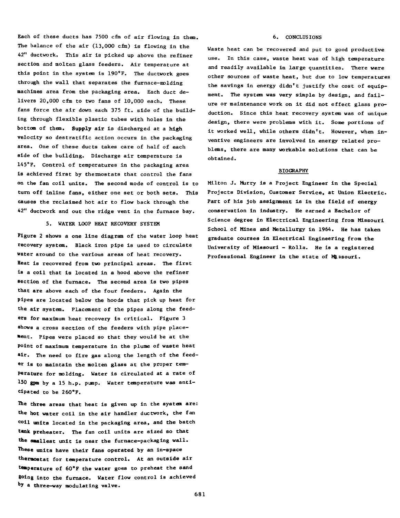Each of these ducts has 7500 cfm of air flowing in them. The balance of the air  $(13,000 \text{ cm})$  is flowing in the 42" ductwork. This air is picked up above the refiner section and molten glass feeders. Air temperature at this point in the system is 190°F. The ductwork goes through the wall that separates the furnace-molding machines area from the packaging area. Each duct delivers 20,000 cfm to two fans of 10,000 each. These fans force the air down each 375 ft. side of the building through flexible plastic tubes with holes in the bottom of them. Supply air is discharged at a high velocity so destratific action occurs in the packaging area. One of these ducts takes care of half of each side of the building. Discharge air temperature is 145°F. Control of temperatures in the packaging area is achieved first by thermostats that control the fans on the fan coil units. The second mode of control is to turn off inline fans, either one set or both sets. This causes the reclaimed hot air to flow back through the 42" ductwork and out the ridge vent in the furnace bay.

## 5. WATER LOOP HEAT RECOVERY SYSTEM

Figure 2 shows a one line diagram of the water loop heat recovery system. Black iron pipe is used to circulate water around to the various areas of heat recovery. Heat is recovered from two principal areas. The first is a coil that is located in a hood above the refiner section of the furnace. The second area is two pipes that are above each of the four feeders. Again the pipes are located below the hoods that pick up heat for the air system. Placement of the pipes along the feeders for maximum heat recovery is critical. Figure 3 shows a cross section of the feeders with pipe placement. Pipes were placed so that they would be at the point of maximum temperature in the plume of waste heat air. The need to fire gas along the length of the feeder is to maintain the molten glass at the proper temperature for molding. Water is circulated at a rate of 150 gpm by a 15 h.p. pimp. Water temperature was anticipated to be 260°F.

The three areas that heat is given up in the system are: the hot water coil in the air handler ductwork, the fan coil units located in the packaging area, and the batch **tank** preheater. The fan coil units are sized so that the smallest unit is near the furnace-packaging wall. These units have their fans operated by an in-space thermostat for temperature control. At an outside air temperature of 60®F the water goes to preheat the sand going into the furnace. Water flow control is achieved by a three-way modulating valve.

# 6. CONCLUSIONS

Waste heat can be recovered and put to good productive use. In this case, waste heat was of high temperature and readily available in large quantities. There were other sources of waste heat, but due to low temperatures the savings in energy didn't justify the cost of equipment. The system was very simple by design, and failure or maintenance work on it did not effect glass production. Since this heat recovery systan was of unique design, there were problems with it. Some portions of it worked well, while others didn't. However, when inventive engineers are involved in energy related problems, there are many workable solutions that can be obtained.

#### **BIOGRAPHY**

Milton J. Murry is a Project Engineer in the Special Projects Division, Customer Service, at Union Electric. Part of his job assignment is in the field of energy conservation in industry. He earned a Bachelor of Science degree in Electrical Engineering from Missouri School of Mines and Metallurgy in 1964. He has taken graduate courses in Electrical Engineering from the University of Missouri - R6lla. He is a registered Professional Engineer in the state of Missouri.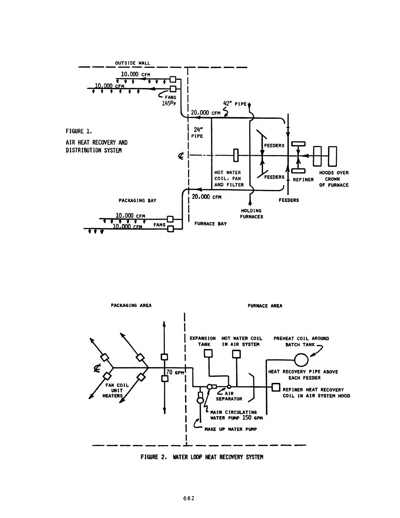



**FIGURE 2. WATER LOOP HEAT RECOVERY SYSTEM**